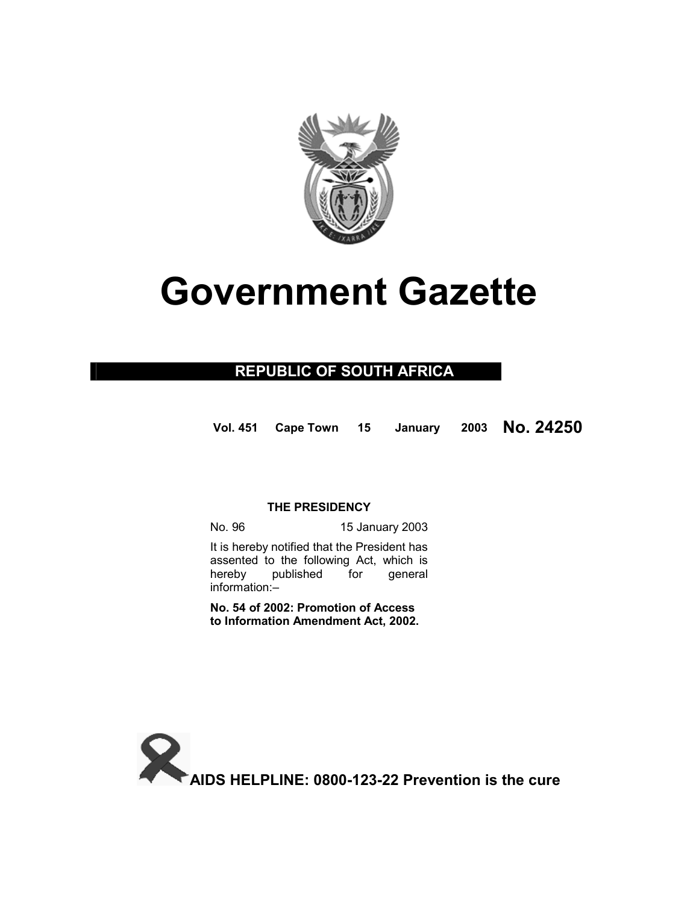

# **Government Gazette**

# **REPUBLIC OF SOUTH AFRICA**

**Vol. 451 Cape Town 15 January 2003 No. 24250**

## **THE PRESIDENCY**

No. 96 15 January 2003

 It is hereby notified that the President has assented to the following Act, which is hereby published for general information:–

**No. 54 of 2002: Promotion of Access to Information Amendment Act, 2002.** 

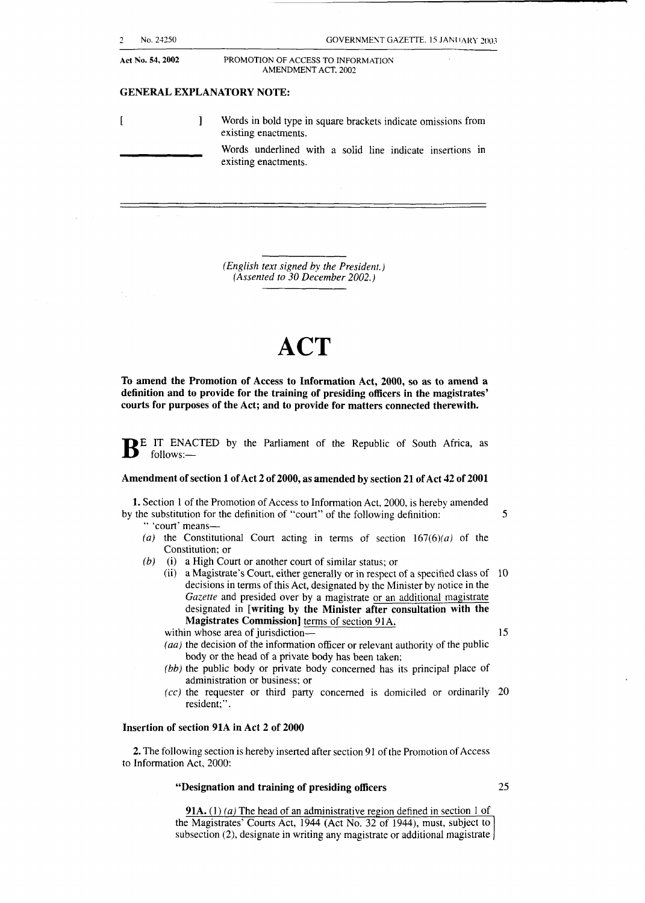| No. 24250        |  | <b>GOVERNMENT GAZETTE, 15 JANUARY 2003</b>                                            |
|------------------|--|---------------------------------------------------------------------------------------|
| Act No. 54, 2002 |  | PROMOTION OF ACCESS TO INFORMATION<br>AMENDMENT ACT, 2002                             |
|                  |  | <b>GENERAL EXPLANATORY NOTE:</b>                                                      |
|                  |  | Words in bold type in square brackets indicate omissions from<br>existing enactments. |
|                  |  | Words underlined with a solid line indicate insertions in<br>existing enactments.     |

*(English text signed by the President.) (Assented to 30 December 2002.)* 

# **ACT**

**To** amend the Promotion of Access to Information Act, 2000, **so as** to amend a definition and to provide for the training of presiding officers in the magistrates' courts for purposes of the Act; and to provide for matters connected therewith.

**BE** IT ENACTED by the Parliament of the Republic of South Africa, as follows: follows:-

#### Amendment of section 1 of Act 2 of 2000, as amended by section 21 of Act 42 of 2001

**1.** Section 1 of the Promotion of Access to Information Act, 2000, is hereby amended by the substitution for the definition of "court" of the following definition: 5

" 'court' means-

- (a) the Constitutional Court acting in terms of section  $167(6)(a)$  of the Constitution; or
- *(b)* (i) a High Court or another court of similar status; or

(ii) a Magistrate's Court, either generally or in respect of a specified class of 10 decisions in terms of this Act, designated by the Minister by notice in the Gazette and presided over by a magistrate or an additional magistrate designated in [writing **by** the Minister after consultation with the Magistrates Commission] terms of section 91A.

within whose area of jurisdiction- $\frac{15}{25}$ 

- *(aa)* the decision of the information officer or relevant authority of the public body or the head of a private body has been taken;
- *(bb)* the public body or private body concerned has its principal place of administration or business: or
- *(cc)* the requester or third party concerned is domiciled or ordinarily 20 resident;".

#### Insertion of section 91A in Act 2 of 2000

2. The following section is hereby inserted after section 91 of the Promotion of Access to Information Act, 2000:

#### "Designation and training of presiding officers *25*

**91A.** (1) (a) The head of an administrative region defined in section 1 of the Magistrates' Courts Act, 1944 (Act No. *32* of 1944), must, subject to subsection (2), designate in writing any magistrate or additional magistrate